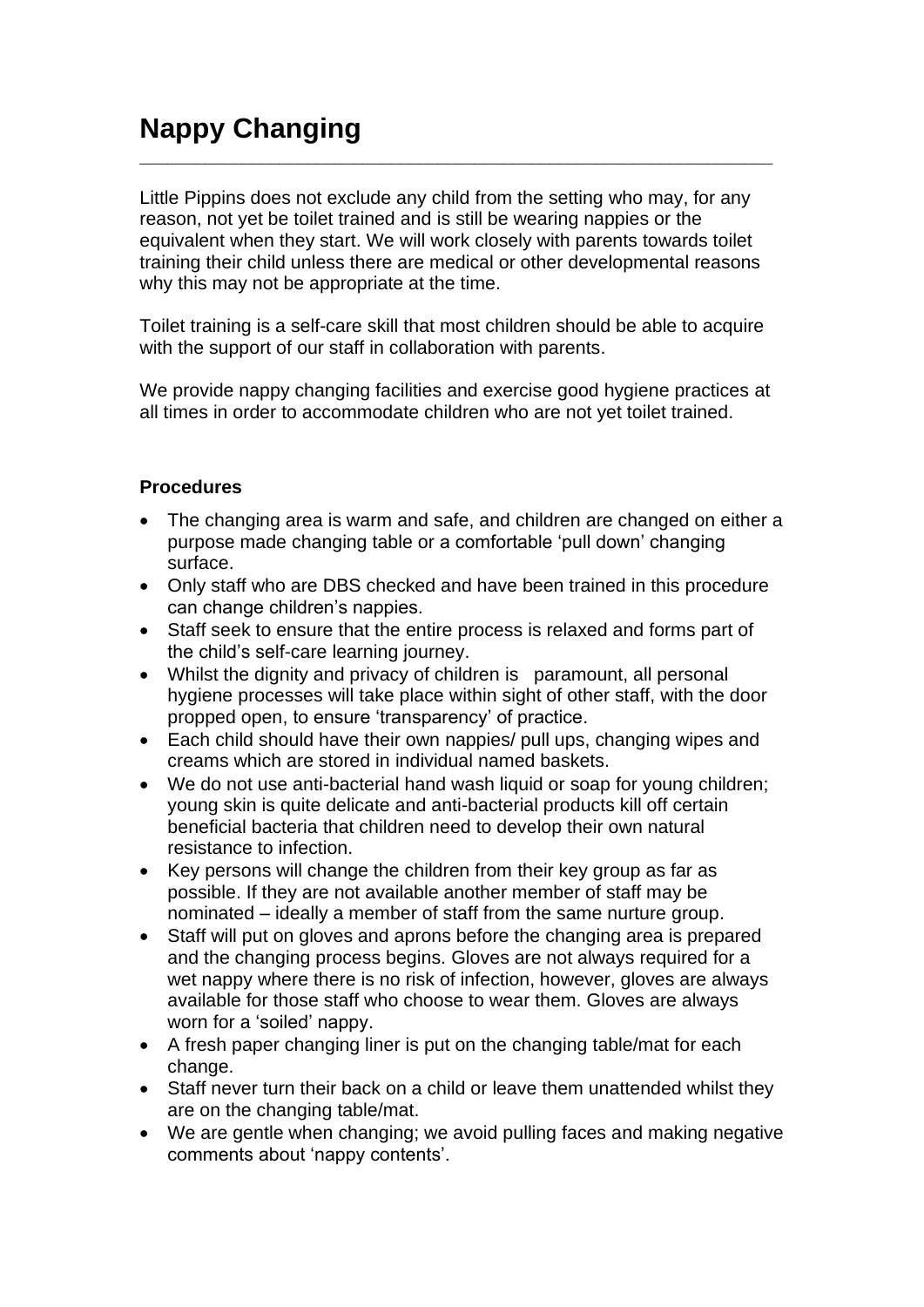## **Nappy Changing**  $\_$  , and the set of the set of the set of the set of the set of the set of the set of the set of the set of the set of the set of the set of the set of the set of the set of the set of the set of the set of the set of th

Little Pippins does not exclude any child from the setting who may, for any reason, not yet be toilet trained and is still be wearing nappies or the equivalent when they start. We will work closely with parents towards toilet training their child unless there are medical or other developmental reasons why this may not be appropriate at the time.

Toilet training is a self-care skill that most children should be able to acquire with the support of our staff in collaboration with parents.

We provide nappy changing facilities and exercise good hygiene practices at all times in order to accommodate children who are not yet toilet trained.

## **Procedures**

- The changing area is warm and safe, and children are changed on either a purpose made changing table or a comfortable 'pull down' changing surface.
- Only staff who are DBS checked and have been trained in this procedure can change children's nappies.
- Staff seek to ensure that the entire process is relaxed and forms part of the child's self-care learning journey.
- Whilst the dignity and privacy of children is paramount, all personal hygiene processes will take place within sight of other staff, with the door propped open, to ensure 'transparency' of practice.
- Each child should have their own nappies/ pull ups, changing wipes and creams which are stored in individual named baskets.
- We do not use anti-bacterial hand wash liquid or soap for young children; young skin is quite delicate and anti-bacterial products kill off certain beneficial bacteria that children need to develop their own natural resistance to infection.
- Key persons will change the children from their key group as far as possible. If they are not available another member of staff may be nominated – ideally a member of staff from the same nurture group.
- Staff will put on gloves and aprons before the changing area is prepared and the changing process begins. Gloves are not always required for a wet nappy where there is no risk of infection, however, gloves are always available for those staff who choose to wear them. Gloves are always worn for a 'soiled' nappy.
- A fresh paper changing liner is put on the changing table/mat for each change.
- Staff never turn their back on a child or leave them unattended whilst they are on the changing table/mat.
- We are gentle when changing; we avoid pulling faces and making negative comments about 'nappy contents'.